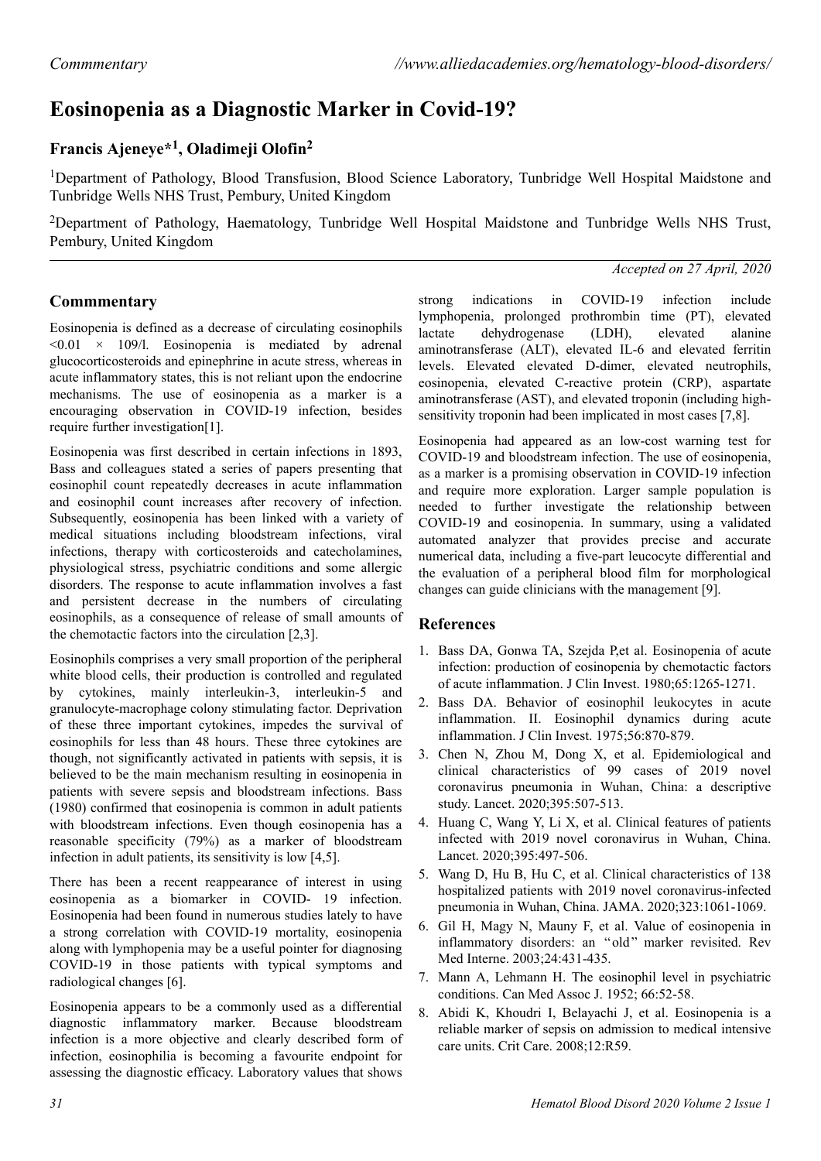# **Eosinopenia as a Diagnostic Marker in Covid-19?**

## **Francis Ajeneye\*<sup>1</sup> , Oladimeji Olofin<sup>2</sup>**

<sup>1</sup>Department of Pathology, Blood Transfusion, Blood Science Laboratory, Tunbridge Well Hospital Maidstone and Tunbridge Wells NHS Trust, Pembury, United Kingdom

<sup>2</sup>Department of Pathology, Haematology, Tunbridge Well Hospital Maidstone and Tunbridge Wells NHS Trust, Pembury, United Kingdom

#### *Accepted on 27 April, 2020*

### **Commmentary**

Eosinopenia is defined as a decrease of circulating eosinophils  $\leq 0.01 \times 109/1$ . Eosinopenia is mediated by adrenal glucocorticosteroids and epinephrine in acute stress, whereas in acute inflammatory states, this is not reliant upon the endocrine mechanisms. The use of eosinopenia as a marker is a encouraging observation in COVID-19 infection, besides require further investigation[1].

Eosinopenia was first described in certain infections in 1893, Bass and colleagues stated a series of papers presenting that eosinophil count repeatedly decreases in acute inflammation and eosinophil count increases after recovery of infection. Subsequently, eosinopenia has been linked with a variety of medical situations including bloodstream infections, viral infections, therapy with corticosteroids and catecholamines, physiological stress, psychiatric conditions and some allergic disorders. The response to acute inflammation involves a fast and persistent decrease in the numbers of circulating eosinophils, as a consequence of release of small amounts of the chemotactic factors into the circulation [2,3].

Eosinophils comprises a very small proportion of the peripheral white blood cells, their production is controlled and regulated by cytokines, mainly interleukin-3, interleukin-5 and granulocyte-macrophage colony stimulating factor. Deprivation of these three important cytokines, impedes the survival of eosinophils for less than 48 hours. These three cytokines are though, not significantly activated in patients with sepsis, it is believed to be the main mechanism resulting in eosinopenia in patients with severe sepsis and bloodstream infections. Bass (1980) confirmed that eosinopenia is common in adult patients with bloodstream infections. Even though eosinopenia has a reasonable specificity (79%) as a marker of bloodstream infection in adult patients, its sensitivity is low [4,5].

There has been a recent reappearance of interest in using eosinopenia as a biomarker in COVID- 19 infection. Eosinopenia had been found in numerous studies lately to have a strong correlation with COVID-19 mortality, eosinopenia along with lymphopenia may be a useful pointer for diagnosing COVID-19 in those patients with typical symptoms and radiological changes [6].

Eosinopenia appears to be a commonly used as a differential diagnostic inflammatory marker. Because bloodstream infection is a more objective and clearly described form of infection, eosinophilia is becoming a favourite endpoint for assessing the diagnostic efficacy. Laboratory values that shows

strong indications in COVID-19 infection include lymphopenia, prolonged prothrombin time (PT), elevated lactate dehydrogenase (LDH), elevated alanine aminotransferase (ALT), elevated IL-6 and elevated ferritin levels. Elevated elevated D-dimer, elevated neutrophils, eosinopenia, elevated C-reactive protein (CRP), aspartate aminotransferase (AST), and elevated troponin (including highsensitivity troponin had been implicated in most cases [7,8].

Eosinopenia had appeared as an low-cost warning test for COVID-19 and bloodstream infection. The use of eosinopenia, as a marker is a promising observation in COVID-19 infection and require more exploration. Larger sample population is needed to further investigate the relationship between COVID-19 and eosinopenia. In summary, using a validated automated analyzer that provides precise and accurate numerical data, including a five-part leucocyte differential and the evaluation of a peripheral blood film for morphological changes can guide clinicians with the management [9].

### **References**

- 1. Bass DA, Gonwa TA, Szejda P,et al. Eosinopenia of acute infection: production of eosinopenia by chemotactic factors of acute inflammation. J Clin Invest. 1980;65:1265-1271.
- 2. Bass DA. Behavior of eosinophil leukocytes in acute inflammation. II. Eosinophil dynamics during acute inflammation. J Clin Invest. 1975;56:870-879.
- 3. Chen N, Zhou M, Dong X, et al. Epidemiological and clinical characteristics of 99 cases of 2019 novel coronavirus pneumonia in Wuhan, China: a descriptive study. Lancet. 2020;395:507-513.
- 4. Huang C, Wang Y, Li X, et al. Clinical features of patients infected with 2019 novel coronavirus in Wuhan, China. Lancet. 2020;395:497-506.
- 5. Wang D, Hu B, Hu C, et al. Clinical characteristics of 138 hospitalized patients with 2019 novel coronavirus-infected pneumonia in Wuhan, China. JAMA. 2020;323:1061-1069.
- 6. Gil H, Magy N, Mauny F, et al. Value of eosinopenia in inflammatory disorders: an "old" marker revisited. Rev Med Interne. 2003;24:431-435.
- 7. Mann A, Lehmann H. The eosinophil level in psychiatric conditions. Can Med Assoc J. 1952; 66:52-58.
- 8. Abidi K, Khoudri I, Belayachi J, et al. Eosinopenia is a reliable marker of sepsis on admission to medical intensive care units. Crit Care. 2008;12:R59.